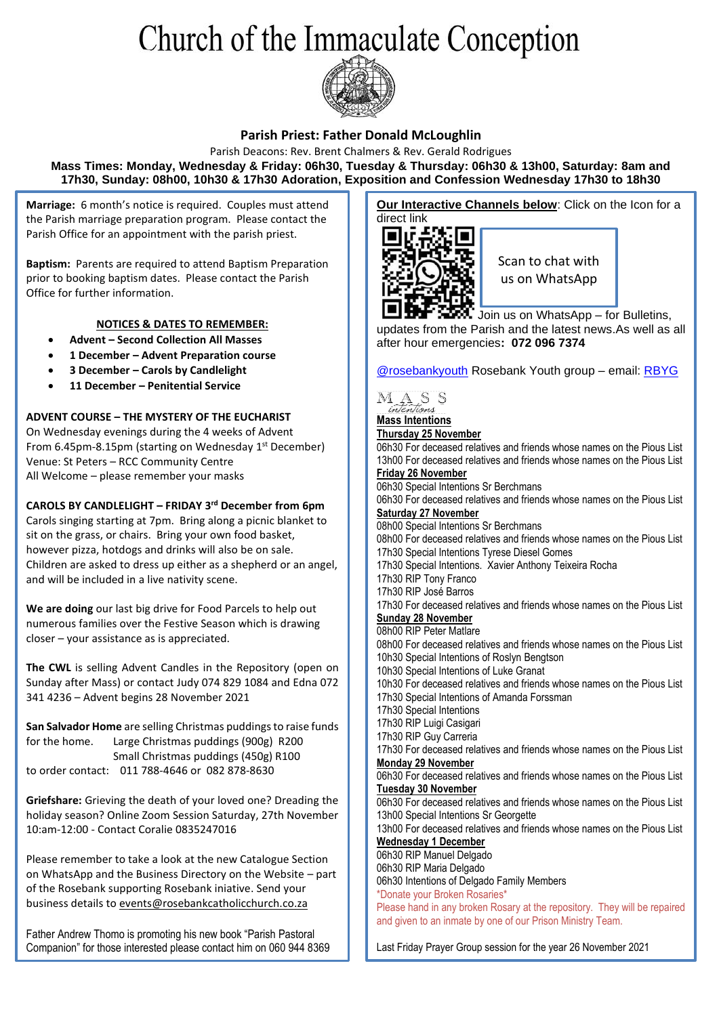# Church of the Immaculate Conception



### **Parish Priest: Father Donald McLoughlin**

Parish Deacons: Rev. Brent Chalmers & Rev. Gerald Rodrigues **Mass Times: Monday, Wednesday & Friday: 06h30, Tuesday & Thursday: 06h30 & 13h00, Saturday: 8am and 17h30, Sunday: 08h00, 10h30 & 17h30 Adoration, Exposition and Confession Wednesday 17h30 to 18h30**

**Marriage:** 6 month's notice is required. Couples must attend the Parish marriage preparation program. Please contact the Parish Office for an appointment with the parish priest.

**Baptism:** Parents are required to attend Baptism Preparation prior to booking baptism dates. Please contact the Parish Office for further information.

### **NOTICES & DATES TO REMEMBER:**

- **Advent – Second Collection All Masses**
- **1 December – Advent Preparation course**
- **3 December – Carols by Candlelight**
- **11 December – Penitential Service**

### **ADVENT COURSE – THE MYSTERY OF THE EUCHARIST**

On Wednesday evenings during the 4 weeks of Advent From 6.45pm-8.15pm (starting on Wednesday 1st December) Venue: St Peters – RCC Community Centre All Welcome – please remember your masks

### **CAROLS BY CANDLELIGHT – FRIDAY 3rd December from 6pm**

Carols singing starting at 7pm. Bring along a picnic blanket to sit on the grass, or chairs. Bring your own food basket, however pizza, hotdogs and drinks will also be on sale. Children are asked to dress up either as a shepherd or an angel, and will be included in a live nativity scene.

**We are doing** our last big drive for Food Parcels to help out numerous families over the Festive Season which is drawing closer – your assistance as is appreciated.

**The CWL** is selling Advent Candles in the Repository (open on Sunday after Mass) or contact Judy 074 829 1084 and Edna 072 341 4236 – Advent begins 28 November 2021

**San Salvador Home** are selling Christmas puddings to raise funds for the home. Large Christmas puddings (900g) R200 Small Christmas puddings (450g) R100 to order contact: 011 788-4646 or 082 878-8630

**Griefshare:** Grieving the death of your loved one? Dreading the holiday season? Online Zoom Session Saturday, 27th November 10:am-12:00 - Contact Coralie 0835247016

Please remember to take a look at the new Catalogue Section on WhatsApp and the Business Directory on the Website – part of the Rosebank supporting Rosebank iniative. Send your business details t[o events@rosebankcatholicchurch.co.za](mailto:events@rosebankcatholicchurch.co.za)

Father Andrew Thomo is promoting his new book "Parish Pastoral Companion" for those interested please contact him on 060 944 8369

**Our Interactive Channels below:** Click on the Icon for a direct link



Scan to chat with us on WhatsApp

**Join us on WhatsApp – for Bulletins,** updates from the Parish and the latest news.As well as all after hour emergencies**: 072 096 7374**

[@rosebankyouth](https://www.instagram.com/rosebankyouth/) Rosebank Youth group – email: [RBYG](mailto:rosebankccyg@gmail.com)



#### **Mass Intentions Thursday 25 November**

06h30 For deceased relatives and friends whose names on the Pious List 13h00 For deceased relatives and friends whose names on the Pious List **Friday 26 November** 

### 06h30 Special Intentions Sr Berchmans

06h30 For deceased relatives and friends whose names on the Pious List **Saturday 27 November**

### 08h00 Special Intentions Sr Berchmans

08h00 For deceased relatives and friends whose names on the Pious List 17h30 Special Intentions Tyrese Diesel Gomes 17h30 Special Intentions. Xavier Anthony Teixeira Rocha 17h30 RIP Tony Franco 17h30 RIP José Barros 17h30 For deceased relatives and friends whose names on the Pious List **Sunday 28 November** 08h00 RIP Peter Matlare 08h00 For deceased relatives and friends whose names on the Pious List 10h30 Special Intentions of Roslyn Bengtson 10h30 Special Intentions of Luke Granat 10h30 For deceased relatives and friends whose names on the Pious List 17h30 Special Intentions of Amanda Forssman 17h30 Special Intentions 17h30 RIP Luigi Casigari 17h30 RIP Guy Carreria 17h30 For deceased relatives and friends whose names on the Pious List **Monday 29 November** 06h30 For deceased relatives and friends whose names on the Pious List **Tuesday 30 November** 06h30 For deceased relatives and friends whose names on the Pious List 13h00 Special Intentions Sr Georgette 13h00 For deceased relatives and friends whose names on the Pious List **Wednesday 1 December** 06h30 RIP Manuel Delgado 06h30 RIP Maria Delgado 06h30 Intentions of Delgado Family Members \*Donate your Broken Rosaries\* Please hand in any broken Rosary at the repository. They will be repaired and given to an inmate by one of our Prison Ministry Team.

Last Friday Prayer Group session for the year 26 November 2021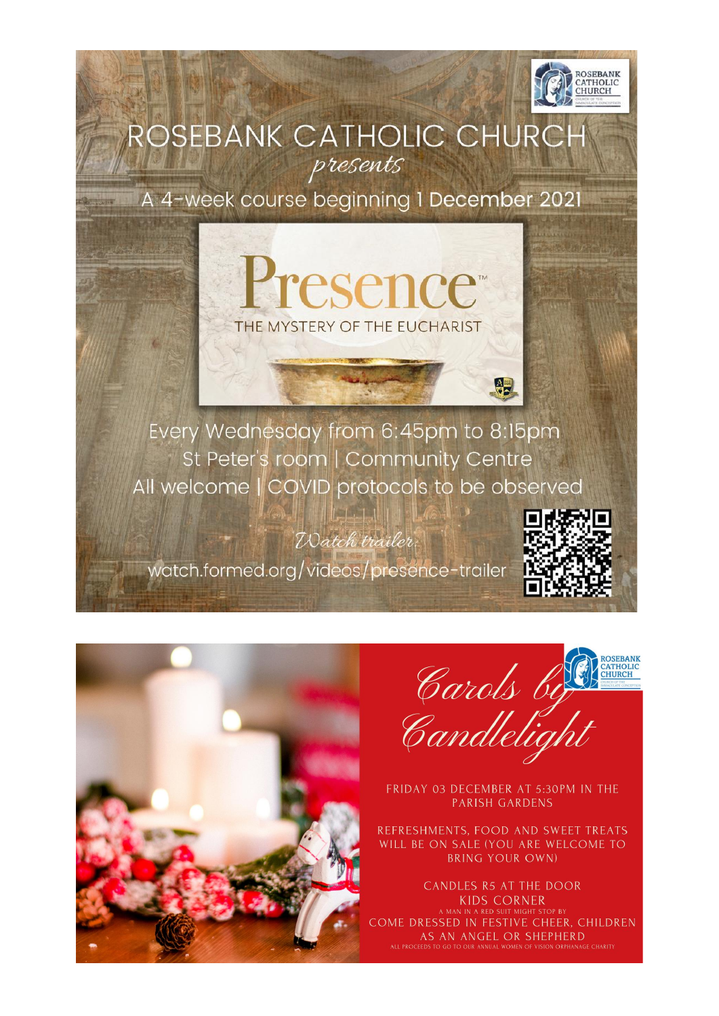

## ROSEBANK CATHOLIC CHURCH presents

A 4-week course beginning 1 December 2021

**Teseno** 

THE MYSTERY OF THE EUCHARIST

Every Wednesday from 6:45pm to 8:15pm St Peter's room | Community Centre All welcome | COVID protocols to be observed

 $|A|$ . 1.1

Watch trailer:

watch.formed.org/videos/presence-trailer



Carols by

FRIDAY 03 DECEMBER AT 5:30PM IN THE **PARISH GARDENS** 

REFRESHMENTS, FOOD AND SWEET TREATS WILL BE ON SALE (YOU ARE WELCOME TO **BRING YOUR OWN)** 

CANDLES R5 AT THE DOOR **KIDS CORNER** N IN A RED SUIT MIGHT ST OME DRESSED IN FESTIVE CHEER, CHILDREN AS AN ANGEL OR SHEPHERD